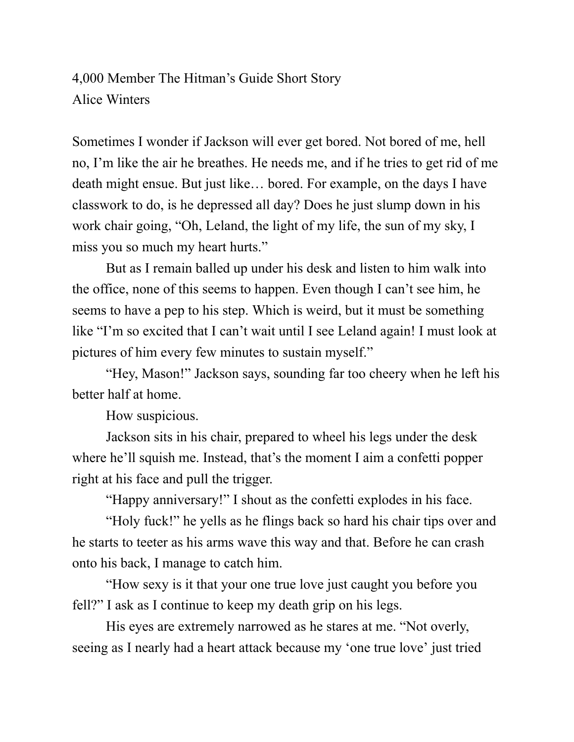4,000 Member The Hitman's Guide Short Story Alice Winters

Sometimes I wonder if Jackson will ever get bored. Not bored of me, hell no, I'm like the air he breathes. He needs me, and if he tries to get rid of me death might ensue. But just like… bored. For example, on the days I have classwork to do, is he depressed all day? Does he just slump down in his work chair going, "Oh, Leland, the light of my life, the sun of my sky, I miss you so much my heart hurts."

But as I remain balled up under his desk and listen to him walk into the office, none of this seems to happen. Even though I can't see him, he seems to have a pep to his step. Which is weird, but it must be something like "I'm so excited that I can't wait until I see Leland again! I must look at pictures of him every few minutes to sustain myself."

"Hey, Mason!" Jackson says, sounding far too cheery when he left his better half at home.

How suspicious.

Jackson sits in his chair, prepared to wheel his legs under the desk where he'll squish me. Instead, that's the moment I aim a confetti popper right at his face and pull the trigger.

"Happy anniversary!" I shout as the confetti explodes in his face.

"Holy fuck!" he yells as he flings back so hard his chair tips over and he starts to teeter as his arms wave this way and that. Before he can crash onto his back, I manage to catch him.

"How sexy is it that your one true love just caught you before you fell?" I ask as I continue to keep my death grip on his legs.

His eyes are extremely narrowed as he stares at me. "Not overly, seeing as I nearly had a heart attack because my 'one true love' just tried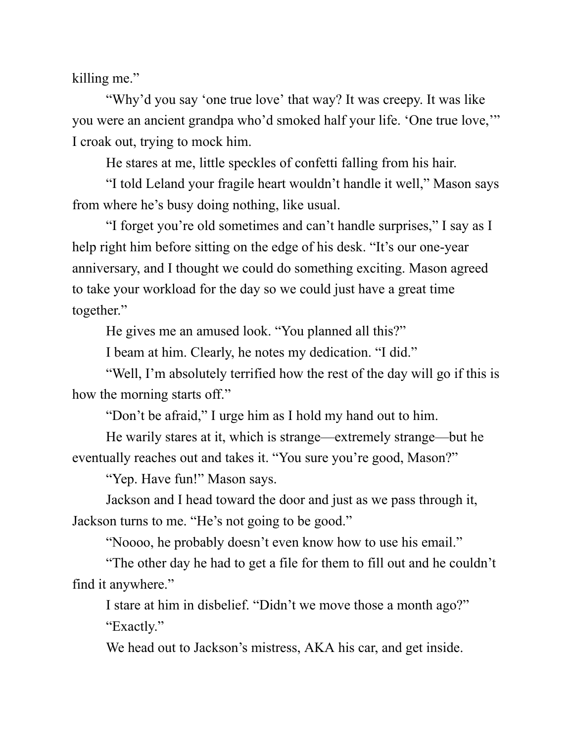killing me."

"Why'd you say 'one true love' that way? It was creepy. It was like you were an ancient grandpa who'd smoked half your life. 'One true love,'" I croak out, trying to mock him.

He stares at me, little speckles of confetti falling from his hair.

"I told Leland your fragile heart wouldn't handle it well," Mason says from where he's busy doing nothing, like usual.

"I forget you're old sometimes and can't handle surprises," I say as I help right him before sitting on the edge of his desk. "It's our one-year anniversary, and I thought we could do something exciting. Mason agreed to take your workload for the day so we could just have a great time together."

He gives me an amused look. "You planned all this?"

I beam at him. Clearly, he notes my dedication. "I did."

"Well, I'm absolutely terrified how the rest of the day will go if this is how the morning starts off."

"Don't be afraid," I urge him as I hold my hand out to him.

He warily stares at it, which is strange—extremely strange—but he eventually reaches out and takes it. "You sure you're good, Mason?"

"Yep. Have fun!" Mason says.

Jackson and I head toward the door and just as we pass through it, Jackson turns to me. "He's not going to be good."

"Noooo, he probably doesn't even know how to use his email."

"The other day he had to get a file for them to fill out and he couldn't find it anywhere."

I stare at him in disbelief. "Didn't we move those a month ago?" "Exactly."

We head out to Jackson's mistress, AKA his car, and get inside.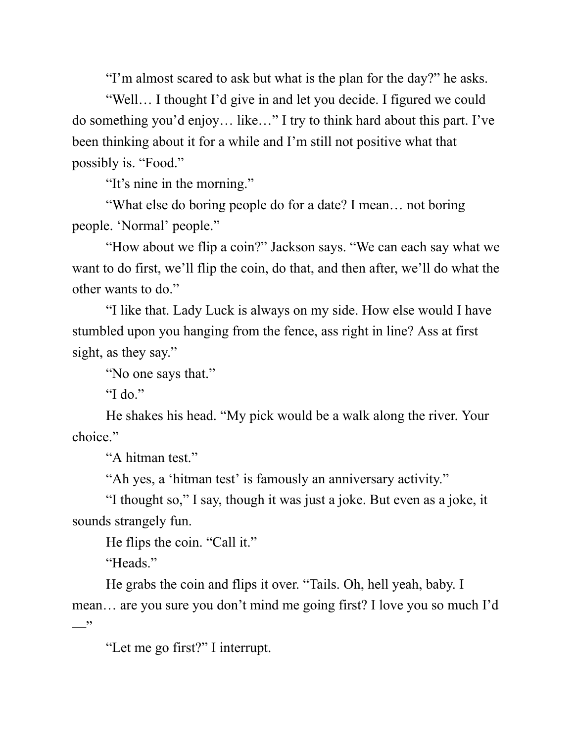"I'm almost scared to ask but what is the plan for the day?" he asks.

"Well… I thought I'd give in and let you decide. I figured we could do something you'd enjoy… like…" I try to think hard about this part. I've been thinking about it for a while and I'm still not positive what that possibly is. "Food."

"It's nine in the morning."

"What else do boring people do for a date? I mean… not boring people. 'Normal' people."

"How about we flip a coin?" Jackson says. "We can each say what we want to do first, we'll flip the coin, do that, and then after, we'll do what the other wants to do."

"I like that. Lady Luck is always on my side. How else would I have stumbled upon you hanging from the fence, ass right in line? Ass at first sight, as they say."

"No one says that."

"I do."

He shakes his head. "My pick would be a walk along the river. Your choice."

"A hitman test."

"Ah yes, a 'hitman test' is famously an anniversary activity."

"I thought so," I say, though it was just a joke. But even as a joke, it sounds strangely fun.

He flips the coin. "Call it."

"Heads."

He grabs the coin and flips it over. "Tails. Oh, hell yeah, baby. I mean… are you sure you don't mind me going first? I love you so much I'd  $\overline{\phantom{a}}$ "

"Let me go first?" I interrupt.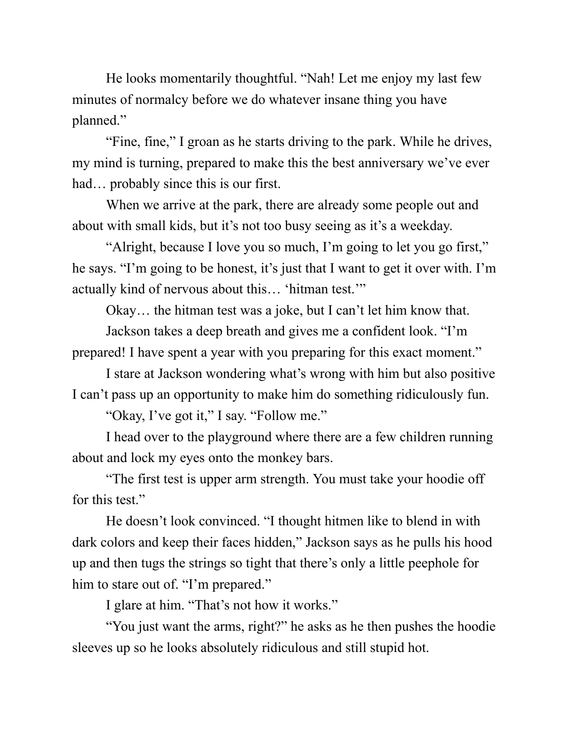He looks momentarily thoughtful. "Nah! Let me enjoy my last few minutes of normalcy before we do whatever insane thing you have planned."

"Fine, fine," I groan as he starts driving to the park. While he drives, my mind is turning, prepared to make this the best anniversary we've ever had… probably since this is our first.

When we arrive at the park, there are already some people out and about with small kids, but it's not too busy seeing as it's a weekday.

"Alright, because I love you so much, I'm going to let you go first," he says. "I'm going to be honest, it's just that I want to get it over with. I'm actually kind of nervous about this… 'hitman test.'"

Okay… the hitman test was a joke, but I can't let him know that.

Jackson takes a deep breath and gives me a confident look. "I'm prepared! I have spent a year with you preparing for this exact moment."

I stare at Jackson wondering what's wrong with him but also positive I can't pass up an opportunity to make him do something ridiculously fun.

"Okay, I've got it," I say. "Follow me."

I head over to the playground where there are a few children running about and lock my eyes onto the monkey bars.

"The first test is upper arm strength. You must take your hoodie off for this test."

He doesn't look convinced. "I thought hitmen like to blend in with dark colors and keep their faces hidden," Jackson says as he pulls his hood up and then tugs the strings so tight that there's only a little peephole for him to stare out of. "I'm prepared."

I glare at him. "That's not how it works."

"You just want the arms, right?" he asks as he then pushes the hoodie sleeves up so he looks absolutely ridiculous and still stupid hot.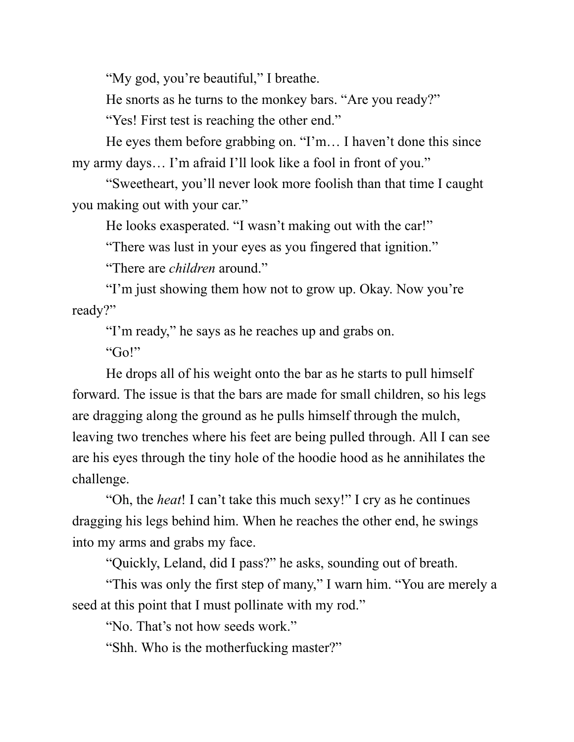"My god, you're beautiful," I breathe.

He snorts as he turns to the monkey bars. "Are you ready?"

"Yes! First test is reaching the other end."

He eyes them before grabbing on. "I'm… I haven't done this since my army days… I'm afraid I'll look like a fool in front of you."

"Sweetheart, you'll never look more foolish than that time I caught you making out with your car."

He looks exasperated. "I wasn't making out with the car!"

"There was lust in your eyes as you fingered that ignition."

"There are *children* around."

"I'm just showing them how not to grow up. Okay. Now you're ready?"

"I'm ready," he says as he reaches up and grabs on.

"Go!"

He drops all of his weight onto the bar as he starts to pull himself forward. The issue is that the bars are made for small children, so his legs are dragging along the ground as he pulls himself through the mulch, leaving two trenches where his feet are being pulled through. All I can see are his eyes through the tiny hole of the hoodie hood as he annihilates the challenge.

"Oh, the *heat*! I can't take this much sexy!" I cry as he continues dragging his legs behind him. When he reaches the other end, he swings into my arms and grabs my face.

"Quickly, Leland, did I pass?" he asks, sounding out of breath.

"This was only the first step of many," I warn him. "You are merely a seed at this point that I must pollinate with my rod."

"No. That's not how seeds work."

"Shh. Who is the motherfucking master?"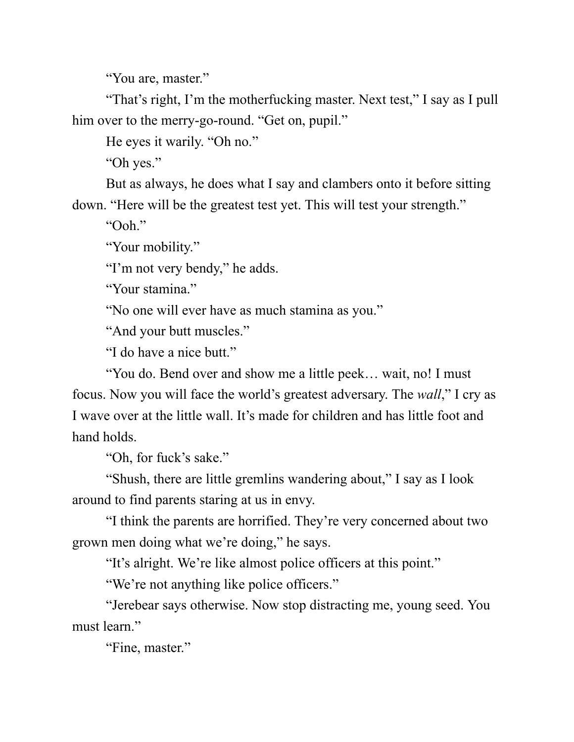"You are, master."

"That's right, I'm the motherfucking master. Next test," I say as I pull him over to the merry-go-round. "Get on, pupil."

He eyes it warily. "Oh no."

"Oh yes."

But as always, he does what I say and clambers onto it before sitting down. "Here will be the greatest test yet. This will test your strength."

"Ooh."

"Your mobility."

"I'm not very bendy," he adds.

"Your stamina."

"No one will ever have as much stamina as you."

"And your butt muscles."

"I do have a nice butt."

"You do. Bend over and show me a little peek… wait, no! I must focus. Now you will face the world's greatest adversary. The *wall*," I cry as I wave over at the little wall. It's made for children and has little foot and hand holds.

"Oh, for fuck's sake."

"Shush, there are little gremlins wandering about," I say as I look around to find parents staring at us in envy.

"I think the parents are horrified. They're very concerned about two grown men doing what we're doing," he says.

"It's alright. We're like almost police officers at this point."

"We're not anything like police officers."

"Jerebear says otherwise. Now stop distracting me, young seed. You must learn."

"Fine, master."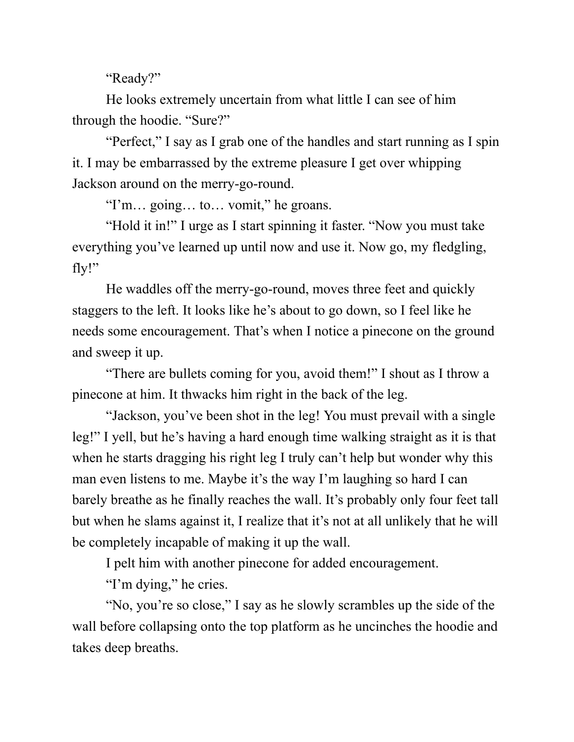"Ready?"

He looks extremely uncertain from what little I can see of him through the hoodie. "Sure?"

"Perfect," I say as I grab one of the handles and start running as I spin it. I may be embarrassed by the extreme pleasure I get over whipping Jackson around on the merry-go-round.

"I'm… going… to… vomit," he groans.

"Hold it in!" I urge as I start spinning it faster. "Now you must take everything you've learned up until now and use it. Now go, my fledgling, fly!"

He waddles off the merry-go-round, moves three feet and quickly staggers to the left. It looks like he's about to go down, so I feel like he needs some encouragement. That's when I notice a pinecone on the ground and sweep it up.

"There are bullets coming for you, avoid them!" I shout as I throw a pinecone at him. It thwacks him right in the back of the leg.

"Jackson, you've been shot in the leg! You must prevail with a single leg!" I yell, but he's having a hard enough time walking straight as it is that when he starts dragging his right leg I truly can't help but wonder why this man even listens to me. Maybe it's the way I'm laughing so hard I can barely breathe as he finally reaches the wall. It's probably only four feet tall but when he slams against it, I realize that it's not at all unlikely that he will be completely incapable of making it up the wall.

I pelt him with another pinecone for added encouragement.

"I'm dying," he cries.

"No, you're so close," I say as he slowly scrambles up the side of the wall before collapsing onto the top platform as he uncinches the hoodie and takes deep breaths.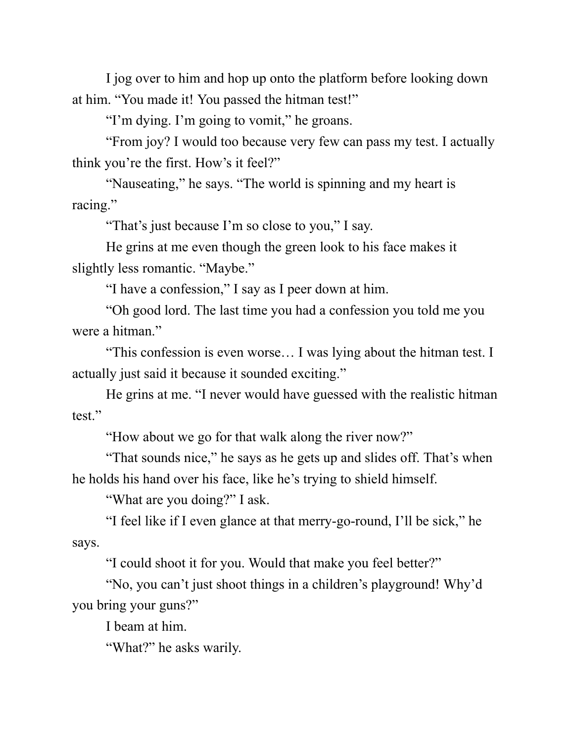I jog over to him and hop up onto the platform before looking down at him. "You made it! You passed the hitman test!"

"I'm dying. I'm going to vomit," he groans.

"From joy? I would too because very few can pass my test. I actually think you're the first. How's it feel?"

"Nauseating," he says. "The world is spinning and my heart is racing."

"That's just because I'm so close to you," I say.

He grins at me even though the green look to his face makes it slightly less romantic. "Maybe."

"I have a confession," I say as I peer down at him.

"Oh good lord. The last time you had a confession you told me you were a hitman."

"This confession is even worse… I was lying about the hitman test. I actually just said it because it sounded exciting."

He grins at me. "I never would have guessed with the realistic hitman test."

"How about we go for that walk along the river now?"

"That sounds nice," he says as he gets up and slides off. That's when he holds his hand over his face, like he's trying to shield himself.

"What are you doing?" I ask.

"I feel like if I even glance at that merry-go-round, I'll be sick," he says.

"I could shoot it for you. Would that make you feel better?"

"No, you can't just shoot things in a children's playground! Why'd you bring your guns?"

I beam at him.

"What?" he asks warily.